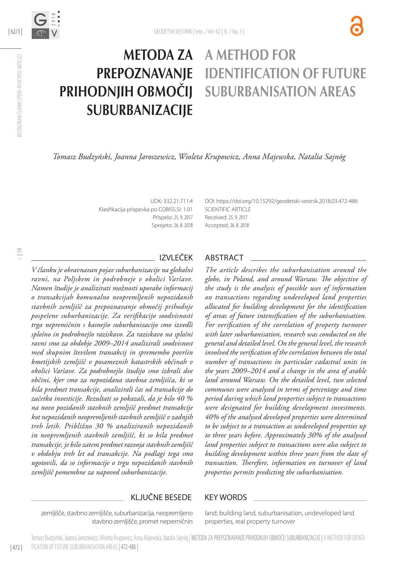

# **METODA ZA** A METHOD F PREPOZNAVANJE identification of future prihodnjih območij suburbanisation areas **SUBURBANIZACIIE**

*Tomasz Budzyński, Joanna Jaroszewicz, Wioleta Krupowicz, Anna Majewska, Natalia Sajnóg*

UDK: 332.21:711.4 Klasifikacija prispevka po COBISS.SI: 1.01 Prispelo: 25. 9. 2017 Sprejeto: 26. 8. 2018 DOI: https://doi.org/10.1529[2/geodetski-vestnik.2018.03.](http://dx.doi.org/10.15292/geodetski-vestnik.2017.03.373-386)472-486 SCIENTIFIC ARTICLE Received: 25. 9. 2017 Accepted: 26. 8. 2018

*V članku je obravnavan pojav suburbanizacije na globalni ravni, na Poljskem in podrobneje v okolici Varšave. Namen študije je analizirati možnosti uporabe informacij o transakcijah komunalno neopremljenih nepozidanih stavbnih zemljišč za prepoznavanje območij prihodnje pospešene suburbanizacije. Za verifikacijo soodvisnosti trga nepremičnin s kasnejšo suburbanizacijo smo izvedli splošno in podrobnejšo raziskavo. Za raziskavo na splošni ravni smo za obdobje 2009–2014 analizirali soodvisnost med skupnim številom transakcij in spremembo površin kmetijskih zemljišč v posameznih katastrskih občinah v okolici Varšave. Za podrobnejšo študijo smo izbrali dve občini, kjer smo za nepozidana stavbna zemljišča, ki so bila predmet transakcije, analizirali čas od transakcije do začetka investicije. Rezultati so pokazali, da je bilo 40 % na novo pozidanih stavbnih zemljišč predmet transakcije kot nepozidanih neopremljenih stavbnih zemljišč v zadnjih treh letih. Približno 30 % analiziranih nepozidanih in neopremljenih stavbnih zemljišč, ki so bila predmet transakcije, je bilo zatem predmet razvoja stavbnih zemljišč v obdobju treh let od transakcije. Na podlagi tega smo ugotovili, da so informacije o trgu nepozidanih stavbnih zemljišč pomembne za napoved suburbanizacije.*

## IZVLEČEK ABSTRACT

*The article describes the suburbanisation around the globe, in Poland, and around Warsaw. The objective of the study is the analysis of possible uses of information on transactions regarding undeveloped land properties allocated for building development for the identification of areas of future intensification of the suburbanisation. For verification of the correlation of property turnover with later suburbanisation, research was conducted on the general and detailed level. On the general level, the research involved the verification of the correlation between the total number of transactions in particular cadastral units in the years 2009–2014 and a change in the area of arable land around Warsaw. On the detailed level, two selected communes were analysed in terms of percentage and time period during which land properties subject to transactions were designated for building development investments. 40% of the analysed developed properties were determined to be subject to a transaction as undeveloped properties up to three years before. Approximately 30% of the analysed land properties subject to transactions were also subject to building development within three years from the date of transaction. Therefore, information on turnover of land properties permits predicting the suburbanisation.*

### KLJUČNE BESEDE KEY WORDS

zemljišče, stavbno zemljišče, suburbanizacija, neopremljeno stavbno zemljišče, promet nepremičnin land, building land, suburbanisation, undeveloped land properties, real property turnover

SI | EN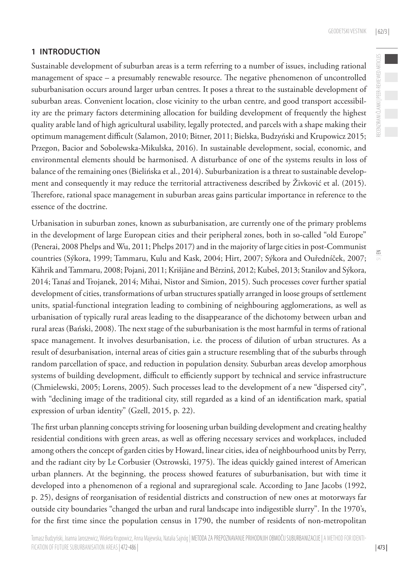RECENZIRANI ČLANKI | PEER-REVIEWED ARTICLES

RECENZIRANI ČLANKI | PEER-REVIEWED ARTICLES

 $\leq$ 

# **1 INTRODUCTION**

Sustainable development of suburban areas is a term referring to a number of issues, including rational management of space – a presumably renewable resource. The negative phenomenon of uncontrolled suburbanisation occurs around larger urban centres. It poses a threat to the sustainable development of suburban areas. Convenient location, close vicinity to the urban centre, and good transport accessibility are the primary factors determining allocation for building development of frequently the highest quality arable land of high agricultural usability, legally protected, and parcels with a shape making their optimum management difficult (Salamon, 2010; Bitner, 2011; Bielska, Budzyński and Krupowicz 2015; Przegon, Bacior and Sobolewska-Mikulska, 2016). In sustainable development, social, economic, and environmental elements should be harmonised. A disturbance of one of the systems results in loss of balance of the remaining ones (Bielińska et al., 2014). Suburbanization is a threat to sustainable development and consequently it may reduce the territorial attractiveness described by Živković et al. (2015). Therefore, rational space management in suburban areas gains particular importance in reference to the essence of the doctrine.

Urbanisation in suburban zones, known as suburbanisation, are currently one of the primary problems in the development of large European cities and their peripheral zones, both in so-called "old Europe" (Penerai, 2008 Phelps and Wu, 2011; Phelps 2017) and in the majority of large cities in post-Communist countries (Sýkora, 1999; Tammaru, Kulu and Kask, 2004; Hirt, 2007; Sýkora and Ouředníček, 2007; Kährik and Tammaru, 2008; Pojani, 2011; Krišjāne and Bērzinš, 2012; Kubeš, 2013; Stanilov and Sýkora, 2014; Tanaś and Trojanek, 2014; Mihai, Nistor and Simion, 2015). Such processes cover further spatial development of cities, transformations of urban structures spatially arranged in loose groups of settlement units, spatial-functional integration leading to combining of neighbouring agglomerations, as well as urbanisation of typically rural areas leading to the disappearance of the dichotomy between urban and rural areas (Bański, 2008). The next stage of the suburbanisation is the most harmful in terms of rational space management. It involves desurbanisation, i.e. the process of dilution of urban structures. As a result of desurbanisation, internal areas of cities gain a structure resembling that of the suburbs through random parcellation of space, and reduction in population density. Suburban areas develop amorphous systems of building development, difficult to efficiently support by technical and service infrastructure (Chmielewski, 2005; Lorens, 2005). Such processes lead to the development of a new "dispersed city", with "declining image of the traditional city, still regarded as a kind of an identification mark, spatial expression of urban identity" (Gzell, 2015, p. 22).

The first urban planning concepts striving for loosening urban building development and creating healthy residential conditions with green areas, as well as offering necessary services and workplaces, included among others the concept of garden cities by Howard, linear cities, idea of neighbourhood units by Perry, and the radiant city by Le Corbusier (Ostrowski, 1975). The ideas quickly gained interest of American urban planners. At the beginning, the process showed features of suburbanisation, but with time it developed into a phenomenon of a regional and supraregional scale. According to Jane Jacobs (1992, p. 25), designs of reorganisation of residential districts and construction of new ones at motorways far outside city boundaries "changed the urban and rural landscape into indigestible slurry". In the 1970's, for the first time since the population census in 1790, the number of residents of non-metropolitan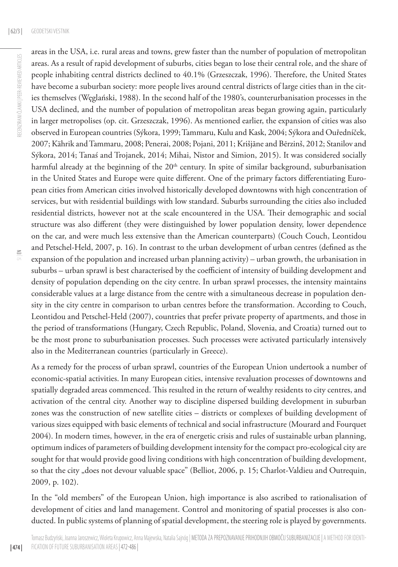areas in the USA, i.e. rural areas and towns, grew faster than the number of population of metropolitan areas. As a result of rapid development of suburbs, cities began to lose their central role, and the share of people inhabiting central districts declined to 40.1% (Grzeszczak, 1996). Therefore, the United States have become a suburban society: more people lives around central districts of large cities than in the cities themselves (Węglański, 1988). In the second half of the 1980's, counterurbanisation processes in the USA declined, and the number of population of metropolitan areas began growing again, particularly in larger metropolises (op. cit. Grzeszczak, 1996). As mentioned earlier, the expansion of cities was also observed in European countries (Sýkora, 1999; Tammaru, Kulu and Kask, 2004; Sýkora and Ouředníček, 2007; Kährik and Tammaru, 2008; Penerai, 2008; Pojani, 2011; Krišjāne and Bērzinš, 2012; Stanilov and Sýkora, 2014; Tanaś and Trojanek, 2014; Mihai, Nistor and Simion, 2015). It was considered socially harmful already at the beginning of the 20<sup>th</sup> century. In spite of similar background, suburbanisation in the United States and Europe were quite different. One of the primary factors differentiating European cities from American cities involved historically developed downtowns with high concentration of services, but with residential buildings with low standard. Suburbs surrounding the cities also included residential districts, however not at the scale encountered in the USA. Their demographic and social structure was also different (they were distinguished by lower population density, lower dependence on the car, and were much less extensive than the American counterparts) (Couch Couch, Leontidou and Petschel-Held, 2007, p. 16). In contrast to the urban development of urban centres (defined as the expansion of the population and increased urban planning activity) – urban growth, the urbanisation in suburbs – urban sprawl is best characterised by the coefficient of intensity of building development and density of population depending on the city centre. In urban sprawl processes, the intensity maintains considerable values at a large distance from the centre with a simultaneous decrease in population density in the city centre in comparison to urban centres before the transformation. According to Couch, Leontidou and Petschel-Held (2007), countries that prefer private property of apartments, and those in the period of transformations (Hungary, Czech Republic, Poland, Slovenia, and Croatia) turned out to be the most prone to suburbanisation processes. Such processes were activated particularly intensively also in the Mediterranean countries (particularly in Greece).

As a remedy for the process of urban sprawl, countries of the European Union undertook a number of economic-spatial activities. In many European cities, intensive revaluation processes of downtowns and spatially degraded areas commenced. This resulted in the return of wealthy residents to city centres, and activation of the central city. Another way to discipline dispersed building development in suburban zones was the construction of new satellite cities – districts or complexes of building development of various sizes equipped with basic elements of technical and social infrastructure (Mourard and Fourquet 2004). In modern times, however, in the era of energetic crisis and rules of sustainable urban planning, optimum indices of parameters of building development intensity for the compact pro-ecological city are sought for that would provide good living conditions with high concentration of building development, so that the city "does not devour valuable space" (Belliot, 2006, p. 15; Charlot-Valdieu and Outrequin, 2009, p. 102).

In the "old members" of the European Union, high importance is also ascribed to rationalisation of development of cities and land management. Control and monitoring of spatial processes is also conducted. In public systems of planning of spatial development, the steering role is played by governments.

| 474 |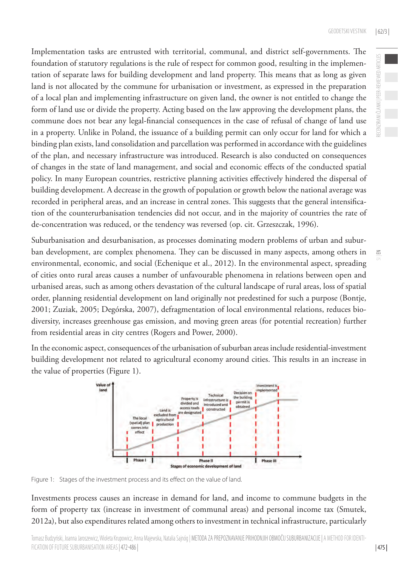Implementation tasks are entrusted with territorial, communal, and district self-governments. The foundation of statutory regulations is the rule of respect for common good, resulting in the implementation of separate laws for building development and land property. This means that as long as given land is not allocated by the commune for urbanisation or investment, as expressed in the preparation of a local plan and implementing infrastructure on given land, the owner is not entitled to change the form of land use or divide the property. Acting based on the law approving the development plans, the commune does not bear any legal-financial consequences in the case of refusal of change of land use in a property. Unlike in Poland, the issuance of a building permit can only occur for land for which a binding plan exists, land consolidation and parcellation was performed in accordance with the guidelines of the plan, and necessary infrastructure was introduced. Research is also conducted on consequences of changes in the state of land management, and social and economic effects of the conducted spatial policy. In many European countries, restrictive planning activities effectively hindered the dispersal of building development. A decrease in the growth of population or growth below the national average was recorded in peripheral areas, and an increase in central zones. This suggests that the general intensification of the counterurbanisation tendencies did not occur, and in the majority of countries the rate of de-concentration was reduced, or the tendency was reversed (op. cit. Grzeszczak, 1996).

Suburbanisation and desurbanisation, as processes dominating modern problems of urban and suburban development, are complex phenomena. They can be discussed in many aspects, among others in environmental, economic, and social (Echenique et al., 2012). In the environmental aspect, spreading of cities onto rural areas causes a number of unfavourable phenomena in relations between open and urbanised areas, such as among others devastation of the cultural landscape of rural areas, loss of spatial order, planning residential development on land originally not predestined for such a purpose (Bontje, 2001; Zuziak, 2005; Degórska, 2007), defragmentation of local environmental relations, reduces biodiversity, increases greenhouse gas emission, and moving green areas (for potential recreation) further from residential areas in city centres (Rogers and Power, 2000).

In the economic aspect, consequences of the urbanisation of suburban areas include residential-investment building development not related to agricultural economy around cities. This results in an increase in the value of properties (Figure 1).



Figure 1: Stages of the investment process and its effect on the value of land.

Investments process causes an increase in demand for land, and income to commune budgets in the form of property tax (increase in investment of communal areas) and personal income tax (Smutek, 2012a), but also expenditures related among others to investment in technical infrastructure, particularly  $\leq$ 

RECENZIRANI ČLANKI | PEER-REVIEWED ARTICLES

ECENZIRANI ČLANKI | PEER-REVIEWED ARTICLES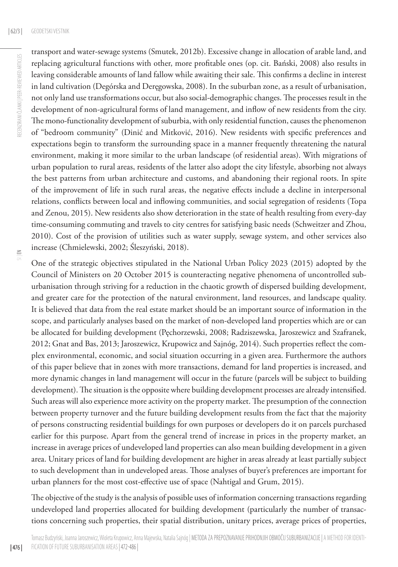transport and water-sewage systems (Smutek, 2012b). Excessive change in allocation of arable land, and replacing agricultural functions with other, more profitable ones (op. cit. Bański, 2008) also results in leaving considerable amounts of land fallow while awaiting their sale. This confirms a decline in interest in land cultivation (Degórska and Deręgowska, 2008). In the suburban zone, as a result of urbanisation, not only land use transformations occur, but also social-demographic changes. The processes result in the development of non-agricultural forms of land management, and inflow of new residents from the city. The mono-functionality development of suburbia, with only residential function, causes the phenomenon of "bedroom community" (Dinić and Mitković, 2016). New residents with specific preferences and expectations begin to transform the surrounding space in a manner frequently threatening the natural environment, making it more similar to the urban landscape (of residential areas). With migrations of urban population to rural areas, residents of the latter also adopt the city lifestyle, absorbing not always the best patterns from urban architecture and customs, and abandoning their regional roots. In spite of the improvement of life in such rural areas, the negative effects include a decline in interpersonal relations, conflicts between local and inflowing communities, and social segregation of residents (Topa and Zenou, 2015). New residents also show deterioration in the state of health resulting from every-day time-consuming commuting and travels to city centres for satisfying basic needs (Schweitzer and Zhou, 2010). Cost of the provision of utilities such as water supply, sewage system, and other services also increase (Chmielewski, 2002; Śleszyński, 2018).

One of the strategic objectives stipulated in the National Urban Policy 2023 (2015) adopted by the Council of Ministers on 20 October 2015 is counteracting negative phenomena of uncontrolled suburbanisation through striving for a reduction in the chaotic growth of dispersed building development, and greater care for the protection of the natural environment, land resources, and landscape quality. It is believed that data from the real estate market should be an important source of information in the scope, and particularly analyses based on the market of non-developed land properties which are or can be allocated for building development (Pęchorzewski, 2008; Radziszewska, Jaroszewicz and Szafranek, 2012; Gnat and Bas, 2013; Jaroszewicz, Krupowicz and Sajnóg, 2014). Such properties reflect the complex environmental, economic, and social situation occurring in a given area. Furthermore the authors of this paper believe that in zones with more transactions, demand for land properties is increased, and more dynamic changes in land management will occur in the future (parcels will be subject to building development). The situation is the opposite where building development processes are already intensified. Such areas will also experience more activity on the property market. The presumption of the connection between property turnover and the future building development results from the fact that the majority of persons constructing residential buildings for own purposes or developers do it on parcels purchased earlier for this purpose. Apart from the general trend of increase in prices in the property market, an increase in average prices of undeveloped land properties can also mean building development in a given area. Unitary prices of land for building development are higher in areas already at least partially subject to such development than in undeveloped areas. Those analyses of buyer's preferences are important for urban planners for the most cost-effective use of space (Nahtigal and Grum, 2015).

The objective of the study is the analysis of possible uses of information concerning transactions regarding undeveloped land properties allocated for building development (particularly the number of transactions concerning such properties, their spatial distribution, unitary prices, average prices of properties,

| 476 |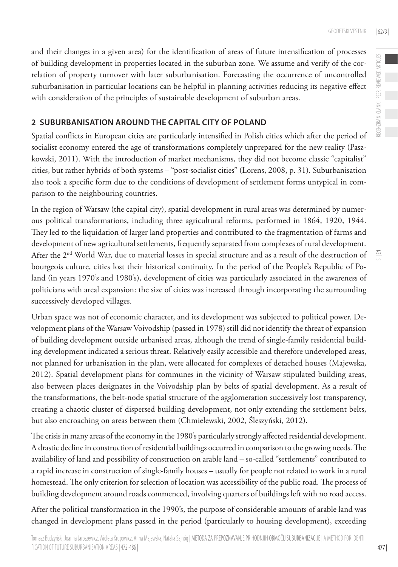and their changes in a given area) for the identification of areas of future intensification of processes of building development in properties located in the suburban zone. We assume and verify of the correlation of property turnover with later suburbanisation. Forecasting the occurrence of uncontrolled suburbanisation in particular locations can be helpful in planning activities reducing its negative effect with consideration of the principles of sustainable development of suburban areas.

## **2 SUBURBANISATION AROUND THE CAPITAL CITY OF POLAND**

Spatial conflicts in European cities are particularly intensified in Polish cities which after the period of socialist economy entered the age of transformations completely unprepared for the new reality (Paszkowski, 2011). With the introduction of market mechanisms, they did not become classic "capitalist" cities, but rather hybrids of both systems – "post-socialist cities" (Lorens, 2008, p. 31). Suburbanisation also took a specific form due to the conditions of development of settlement forms untypical in comparison to the neighbouring countries.

In the region of Warsaw (the capital city), spatial development in rural areas was determined by numerous political transformations, including three agricultural reforms, performed in 1864, 1920, 1944. They led to the liquidation of larger land properties and contributed to the fragmentation of farms and development of new agricultural settlements, frequently separated from complexes of rural development. After the 2nd World War, due to material losses in special structure and as a result of the destruction of bourgeois culture, cities lost their historical continuity. In the period of the People's Republic of Poland (in years 1970's and 1980's), development of cities was particularly associated in the awareness of politicians with areal expansion: the size of cities was increased through incorporating the surrounding successively developed villages.

Urban space was not of economic character, and its development was subjected to political power. Development plans of the Warsaw Voivodship (passed in 1978) still did not identify the threat of expansion of building development outside urbanised areas, although the trend of single-family residential building development indicated a serious threat. Relatively easily accessible and therefore undeveloped areas, not planned for urbanisation in the plan, were allocated for complexes of detached houses (Majewska, 2012). Spatial development plans for communes in the vicinity of Warsaw stipulated building areas, also between places designates in the Voivodship plan by belts of spatial development. As a result of the transformations, the belt-node spatial structure of the agglomeration successively lost transparency, creating a chaotic cluster of dispersed building development, not only extending the settlement belts, but also encroaching on areas between them (Chmielewski, 2002, Śleszyński, 2012).

The crisis in many areas of the economy in the 1980's particularly strongly affected residential development. A drastic decline in construction of residential buildings occurred in comparison to the growing needs. The availability of land and possibility of construction on arable land – so-called "settlements" contributed to a rapid increase in construction of single-family houses – usually for people not related to work in a rural homestead. The only criterion for selection of location was accessibility of the public road. The process of building development around roads commenced, involving quarters of buildings left with no road access.

After the political transformation in the 1990's, the purpose of considerable amounts of arable land was changed in development plans passed in the period (particularly to housing development), exceeding  $\leq$ 

| 477 |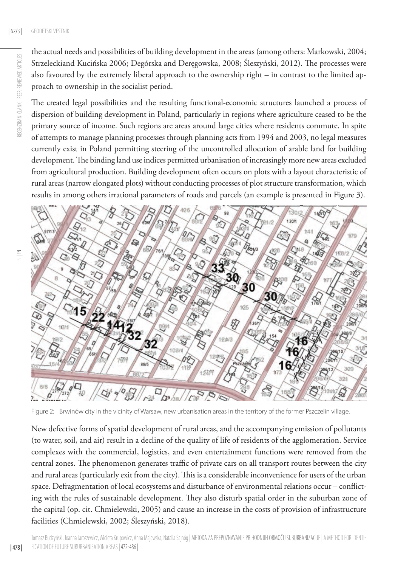the actual needs and possibilities of building development in the areas (among others: Markowski, 2004; Strzeleckiand Kucińska 2006; Degórska and Deręgowska, 2008; Śleszyński, 2012). The processes were also favoured by the extremely liberal approach to the ownership right – in contrast to the limited approach to ownership in the socialist period.

The created legal possibilities and the resulting functional-economic structures launched a process of dispersion of building development in Poland, particularly in regions where agriculture ceased to be the primary source of income. Such regions are areas around large cities where residents commute. In spite of attempts to manage planning processes through planning acts from 1994 and 2003, no legal measures currently exist in Poland permitting steering of the uncontrolled allocation of arable land for building development. The binding land use indices permitted urbanisation of increasingly more new areas excluded from agricultural production. Building development often occurs on plots with a layout characteristic of rural areas (narrow elongated plots) without conducting processes of plot structure transformation, which results in among others irrational parameters of roads and parcels (an example is presented in Figure 3).



Figure 2: Brwinów city in the vicinity of Warsaw, new urbanisation areas in the territory of the former Pszczelin village.

New defective forms of spatial development of rural areas, and the accompanying emission of pollutants (to water, soil, and air) result in a decline of the quality of life of residents of the agglomeration. Service complexes with the commercial, logistics, and even entertainment functions were removed from the central zones. The phenomenon generates traffic of private cars on all transport routes between the city and rural areas (particularly exit from the city). This is a considerable inconvenience for users of the urban space. Defragmentation of local ecosystems and disturbance of environmental relations occur – conflicting with the rules of sustainable development. They also disturb spatial order in the suburban zone of the capital (op. cit. Chmielewski, 2005) and cause an increase in the costs of provision of infrastructure facilities (Chmielewski, 2002; Śleszyński, 2018).

Tomasz Budzyński, Joanna Jaroszewicz, Wioleta Krupowicz, Anna Majewska, Natalia Sajnóg | METODA ZA PREPOZNAVANJE PRIHODNJIH OBMOČIJ SUBURBANIZACIJE | A METHOD FOR IDENTIfication of future suburbanisation areas| 472-486 |

| 478 |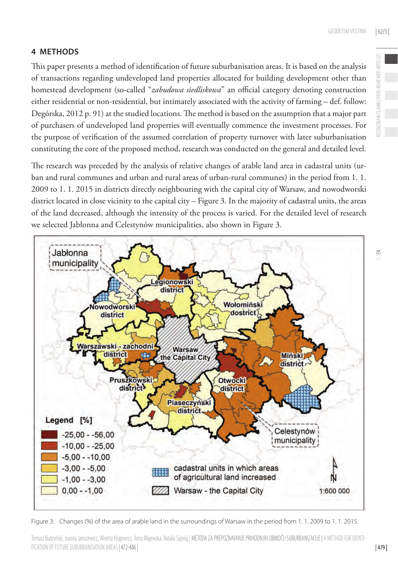## **4 METHODS**

This paper presents a method of identification of future suburbanisation areas. It is based on the analysis of transactions regarding undeveloped land properties allocated for building development other than homestead development (so-called "*zabudowa siedliskowa*" an official category denoting construction either residential or non-residential, but intimately associated with the activity of farming – def. follow: Degórska, 2012 p. 91) at the studied locations. The method is based on the assumption that a major part of purchasers of undeveloped land properties will eventually commence the investment processes. For the purpose of verification of the assumed correlation of property turnover with later suburbanisation constituting the core of the proposed method, research was conducted on the general and detailed level.

The research was preceded by the analysis of relative changes of arable land area in cadastral units (urban and rural communes and urban and rural areas of urban-rural communes) in the period from 1. 1. 2009 to 1. 1. 2015 in districts directly neighbouring with the capital city of Warsaw, and nowodworski district located in close vicinity to the capital city – Figure 3. In the majority of cadastral units, the areas of the land decreased, although the intensity of the process is varied. For the detailed level of research we selected Jabłonna and Celestynów municipalities, also shown in Figure 3.



Figure 3: Changes (%) of the area of arable land in the surroundings of Warsaw in the period from 1. 1. 2009 to 1. 1. 2015.

 $\leq$ 

Tomasz Budzyński, Joanna Jaroszewicz, Wioleta Krupowicz, Anna Majewska, Natalia Sajnóg | METODA ZA PREPOZNAVANJE PRIHODNJIH OBMOČIJ SUBURBANIZACIJE | A METHOD FOR IDENTIfication of future suburbanisation areas| 472-486 |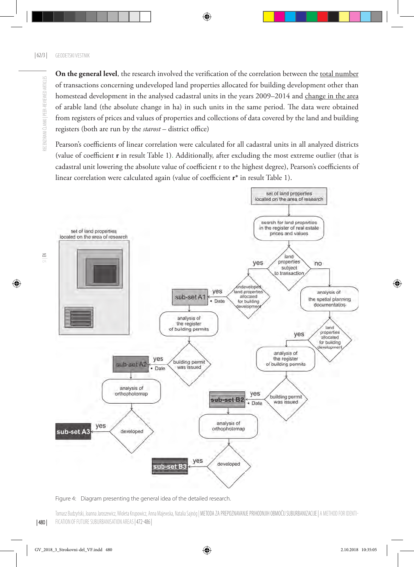**On the general level**, the research involved the verification of the correlation between the total number ECENZIRANI ČLANKI | PEER-REVIEWED ARTICLES RECENZIRANI ČLANKI | PEER-REVIEWED ARTICLES of transactions concerning undeveloped land properties allocated for building development other than homestead development in the analysed cadastral units in the years 2009–2014 and change in the area of arable land (the absolute change in ha) in such units in the same period. The data were obtained from registers of prices and values of properties and collections of data covered by the land and building registers (both are run by the *starost* – district office)

Pearson's coefficients of linear correlation were calculated for all cadastral units in all analyzed districts (value of coefficient **r** in result Table 1). Additionally, after excluding the most extreme outlier (that is cadastral unit lowering the absolute value of coefficient r to the highest degree), Pearson's coefficients of linear correlation were calculated again (value of coefficient **r\*** in result Table 1).



Figure 4: Diagram presenting the general idea of the detailed research.

Tomasz Budzyński, Joanna Jaroszewicz, Wioleta Krupowicz, Anna Majewska, Natalia Sajnóg | METODA ZA PREPOZNAVANJE PRIHODNJIH OBMOČIJ SUBURBANIZACIJE | A METHOD FOR IDENTI-FICATION OF FUTURE SUBURBANISATION AREAS | 472-486

 $\leq$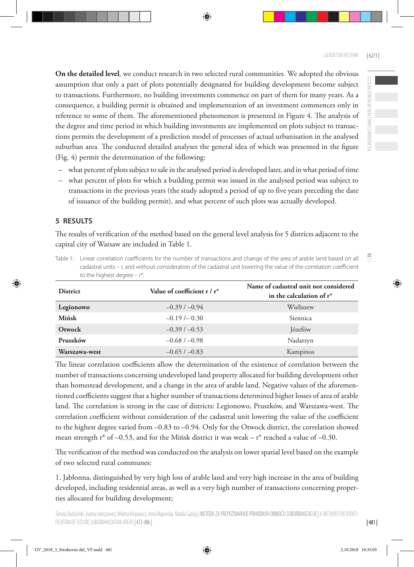**On the detailed level***,* we conduct research in two selected rural communities. We adopted the obvious assumption that only a part of plots potentially designated for building development become subject to transactions. Furthermore, no building investments commence on part of them for many years. As a consequence, a building permit is obtained and implementation of an investment commences only in reference to some of them. The aforementioned phenomenon is presented in Figure 4. The analysis of the degree and time period in which building investments are implemented on plots subject to transactions permits the development of a prediction model of processes of actual urbanisation in the analysed suburban area. The conducted detailed analyses the general idea of which was presented in the figure (Fig. 4) permit the determination of the following:

- what percent of plots subject to sale in the analysed period is developed later, and in what period of time
- what percent of plots for which a building permit was issued in the analysed period was subject to transactions in the previous years (the study adopted a period of up to five years preceding the date of issuance of the building permit), and what percent of such plots was actually developed.

## **5 RESULTS**

The results of verification of the method based on the general level analysis for 5 districts adjacent to the capital city of Warsaw are included in Table 1.

Table 1: Linear correlation coefficients for the number of transactions and change of the area of arable land based on all cadastral units – r, and without consideration of the cadastral unit lowering the value of the correlation coefficient to the highest degree – r\*.

| <b>District</b> | Value of coefficient $r/r^*$ | Name of cadastral unit not considered<br>in the calculation of $r^*$ |
|-----------------|------------------------------|----------------------------------------------------------------------|
| Legionowo       | $-0.39/ -0.94$               | Wieliszew                                                            |
| Mińsk           | $-0.19/- 0.30$               | Siennica                                                             |
| Otwock          | $-0.39/ -0.53$               | Józefów                                                              |
| Pruszków        | $-0.68/ -0.98$               | Nadarzyn                                                             |
| Warszawa-west   | $-0.65/ -0.83$               | Kampinos                                                             |

The linear correlation coefficients allow the determination of the existence of correlation between the number of transactions concerning undeveloped land property allocated for building development other than homestead development, and a change in the area of arable land. Negative values of the aforementioned coefficients suggest that a higher number of transactions determined higher losses of area of arable land. The correlation is strong in the case of districts: Legionowo, Pruszków, and Warszawa-west. The correlation coefficient without consideration of the cadastral unit lowering the value of the coefficient to the highest degree varied from –0.83 to –0.94. Only for the Otwock district, the correlation showed mean strength  $r^*$  of -0.53, and for the Mińsk district it was weak –  $r^*$  reached a value of -0.30.

The verification of the method was conducted on the analysis on lower spatial level based on the example of two selected rural communes:

1. Jabłonna, distinguished by very high loss of arable land and very high increase in the area of building developed, including residential areas, as well as a very high number of transactions concerning properties allocated for building development;

 $\leq$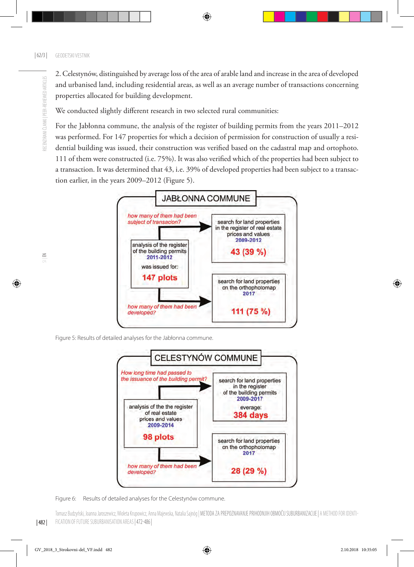RECENZIRANI ČLANKI | PEER-REVIEWED ARTICLES

ECENZIRANI ČLANKI | PEER-REVIEWED ARTICLES

2. Celestynów, distinguished by average loss of the area of arable land and increase in the area of developed and urbanised land, including residential areas, as well as an average number of transactions concerning properties allocated for building development.

We conducted slightly different research in two selected rural communities:

For the Jabłonna commune, the analysis of the register of building permits from the years 2011–2012 was performed. For 147 properties for which a decision of permission for construction of usually a residential building was issued, their construction was verified based on the cadastral map and ortophoto. 111 of them were constructed (i.e. 75%). It was also verified which of the properties had been subject to a transaction. It was determined that 43, i.e. 39% of developed properties had been subject to a transaction earlier, in the years 2009–2012 (Figure 5).



Figure 5: Results of detailed analyses for the Jabłonna commune.



Figure 6: Results of detailed analyses for the Celestynów commune.

| 482 | Tomasz Budzyński, Joanna Jaroszewicz, Wioleta Krupowicz, Anna Majewska, Natalia Sajnóg | METODA ZA PREPOZNAVANJE PRIHODNJIH OBMOČIJ SUBURBANIZACIJE | A METHOD FOR IDENTI-FICATION OF FUTURE SUBURBANISATION AREAS | 472-486 |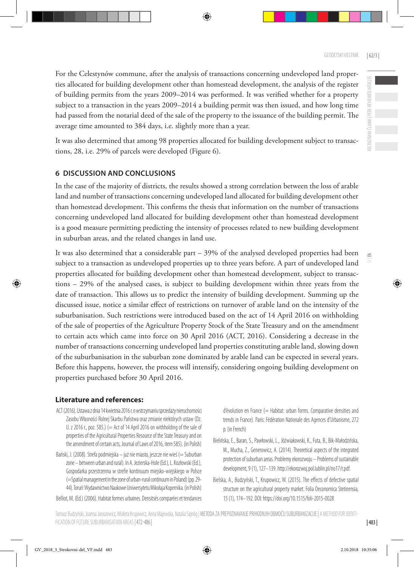For the Celestynów commune, after the analysis of transactions concerning undeveloped land properties allocated for building development other than homestead development, the analysis of the register of building permits from the years 2009–2014 was performed. It was verified whether for a property subject to a transaction in the years 2009–2014 a building permit was then issued, and how long time had passed from the notarial deed of the sale of the property to the issuance of the building permit. The average time amounted to 384 days, i.e. slightly more than a year.

It was also determined that among 98 properties allocated for building development subject to transactions, 28, i.e. 29% of parcels were developed (Figure 6).

## **6 DISCUSSION AND CONCLUSIONS**

In the case of the majority of districts, the results showed a strong correlation between the loss of arable land and number of transactions concerning undeveloped land allocated for building development other than homestead development. This confirms the thesis that information on the number of transactions concerning undeveloped land allocated for building development other than homestead development is a good measure permitting predicting the intensity of processes related to new building development in suburban areas, and the related changes in land use.

It was also determined that a considerable part – 39% of the analysed developed properties had been subject to a transaction as undeveloped properties up to three years before. A part of undeveloped land properties allocated for building development other than homestead development, subject to transactions – 29% of the analysed cases, is subject to building development within three years from the date of transaction. This allows us to predict the intensity of building development. Summing up the discussed issue, notice a similar effect of restrictions on turnover of arable land on the intensity of the suburbanisation. Such restrictions were introduced based on the act of 14 April 2016 on withholding of the sale of properties of the Agriculture Property Stock of the State Treasury and on the amendment to certain acts which came into force on 30 April 2016 (ACT, 2016). Considering a decrease in the number of transactions concerning undeveloped land properties constituting arable land, slowing down of the suburbanisation in the suburban zone dominated by arable land can be expected in several years. Before this happens, however, the process will intensify, considering ongoing building development on properties purchased before 30 April 2016.

### **Literature and references:**

- ACT (2016). Ustawa z dnia 14 kwietnia 2016 r. o wstrzymaniu sprzedaży nieruchomości Zasobu Własności Rolnej Skarbu Państwa oraz zmianie niektórych ustaw (Dz. U. z 2016 r., poz. 585.) (= Act of 14 April 2016 on withholding of the sale of properties of the Agricultural Properties Resource of the State Treasury and on the amendment of certain acts, Journal of Laws of 2016, item 585). (in Polish)
- Bański, J. (2008). Strefa podmiejska już nie miasto, jeszcze nie wieś (= Suburban zone – between urban and rural). In A. Jezierska-Hole (Ed.), L. Kozłowski (Ed.), Gospodarka przestrzenna w strefie kontinuum miejsko-wiejskiego w Polsce (=Spatial management in the zone of urban-rural continuum in Poland) (pp. 29- 44). Toruń: Wydawnictwo Naukowe Uniwersytetu Mikołaja Kopernika. (in Polish)
- Belliot, M. (Ed.) (2006). Habitat formes urbaines. Densitsés comparées et tendances

d'évolution en France (= Habitat: urban forms. Comparative densities and trends in France). Paris: Fédération Nationale des Agences d'Urbanisme, 272 p. (in French)

- Bielińska, E., Baran, S., Pawłowski, L., Jóźwiakowski, K., Futa, B., Bik-Małodzińska, M., Mucha, Z., Generowicz, A. (2014). Theoretical aspects of the integrated protection of suburban areas. Problemy ekorozwoju – Problems of sustainable development, 9 (1), 127–139. http://ekorozwoj.pol.lublin.pl/no17/r.pdf.
- Bielska, A., Budzyński, T., Krupowicz, W. (2015). The effects of defective spatial structure on the agricultural property market. Folia Oeconomica Stetinensia, 15 (1), 174–19[2. DOI: https://doi.org/10.1515/foli-2015](http://ekorozwoj.pol.lublin.pl/no17/r.pdf)-0028

 $\leq$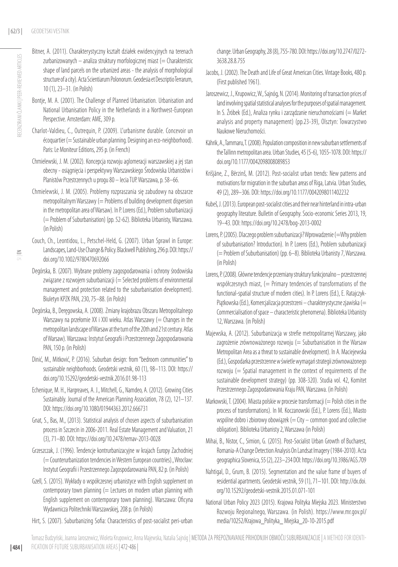Bitner, A. (2011). Charakterystyczny kształt działek ewidencyjnych na terenach zurbanizowanych – analiza struktury morfologicznej miast (= Charakteristic shape of land parcels on the urbanized areas - the analysis of morphological structure of a city). [Acta Scientiarum Polonorum. Geodesia et Descriptio Terrarum](http://yadda.icm.edu.pl/baztech/element/bwmeta1.element.baztech-journal-1644-0668-acta_scientiarum_polonorum__geodesia_et_descriptio_terrarum), 10 (1), 23–31. (in Polish)

 $\leq$ 

- Bontie, M. A. (2001). The Challenge of Planned Urbanisation. Urbanisation and National Urbanisation Policy in the Netherlands in a Northwest-European Perspective. Amsterdam: AME, 309 p.
- Charlot-Valdieu, C., Outrequin, P. (2009). L'urbanisme durable. Concevoir un écoquartier (= Sustainable urban planning. Designing an eco-neighborhood). Paris: Le Moniteur Editions, 295 p. (in French)
- Chmielewski, J. M. (2002). Koncepcja rozwoju aglomeracji warszawskiej a jej stan obecny - osiągnięcia i perspektywy Warszawskiego Środowiska Urbanistów i Planistów Przestrzennych u progu 80 – lecia TUP. Warszawa, p. 58–66.
- Chmielewski, J. M. (2005). Problemy rozpraszania się zabudowy na obszarze metropolitalnym Warszawy (= Problems of building development dispersion in the metropolitan area of Warsaw). In P. Lorens (Ed.), Problem suburbanizacji (= Problem of Suburbanisation) (pp. 52-62). Biblioteka Urbanisty, Warszawa. (in Polish)
- Couch, Ch., Leontidou, L., Petschel-Held, G. (2007). Urban Sprawl in Europe: Landscapes, Land-Use Change & Policy. Blackwell Publishing, 296 p. DOI: [https://](https://doi.org/10.1002/9780470692066) [doi.org/10.1002/9780470692066](https://doi.org/10.1002/9780470692066)
- Degórska, B. (2007). Wybrane problemy zagospodarowania i ochrony środowiska związane z rozwojem suburbanizacji (= Selected problems of environmental management and protection related to the suburbanisation development). Biuletyn KPZK PAN, 230, 75–88. (in Polish)
- Degórska, B., Deręgowska, A. (2008). Zmiany krajobrazu Obszaru Metropolitalnego Warszawy na przełomie XX i XXI wieku. Atlas Warszawy (= Changes in the metropolitan landscape of Warsaw at the turn of the 20th and 21st century. Atlas of Warsaw). Warszawa: Instytut Geografii i Przestrzennego Zagospodarowania PAN, 150 p. (in Polish)
- Dinić, M., Mitković, P. (2016). Suburban design: from "bedroom communities" to sustainable neighborhoods. Geodetski vestnik, 60 (1), 98–113. DOI: [https://](https://doi.org/10.15292/geodetski-vestnik.2016.01.98-113) [doi.org/10.15292/geodetski-vestnik.2016.01.98-113](https://doi.org/10.15292/geodetski-vestnik.2016.01.98-113)
- Echenique, M. H., Hargreaves, A. J., Mitchell, G., Namdeo, A. (2012). Growing Cities Sustainably. Journal of the American Planning Association, 78 (2), 121–137. DOI: <https://doi.org/10.1080/01944363.2012.666731>
- Gnat, S., Bas, M., (2013). Statistical analysis of chosen aspects of suburbanisation process in Szczecin in 2006-2011. Real Estate Management and Valuation, 21 (3), 71–80. DOI: <https://doi.org/10.2478/remav-2013-0028>
- Grzeszczak, J. (1996). Tendencje kontrurbanizacyjne w krajach Europy Zachodniej (= Counterurbanization tendencies in Western European countries)., Wrocław: Instytut Geografii i Przestrzennego Zagospodarowania PAN, 82 p. (in Polish)
- Gzell, S. (2015). Wykłady o współczesnej urbanistyce with English supplement on contemporary town planning  $(=$  Lectures on modern urban planning with English supplement on contemporary town planning). Warszawa: Oficyna Wydawnicza Politechniki Warszawskiej, 208 p. (in Polish)
- Hirt, S. (2007). Suburbanizing Sofia: Characteristics of post-socialist peri-urban

change. Urban Geography, 28 (8), 755-780. DOI: [https://doi.org/10.2747/0272-](https://doi.org/10.2747/0272-3638.28.8.755) [3638.28.8.755](https://doi.org/10.2747/0272-3638.28.8.755)

- Jacobs, J. (2002). The Death and Life of Great American Cities. Vintage Books, 480 p. (First published 1961).
- Jaroszewicz, J., Krupowicz, W., Sajnóg, N. (2014). Monitoring of transaction prices of land involving spatial statistical analyses for the purposes of spatial management. In S. Źróbek (Ed.), Analiza rynku i zarządzanie nieruchomościami (= Market analysis and property management) (pp.23-39), Olsztyn: Towarzystwo Naukowe Nieruchomości.
- Kährik, A., Tammaru, T. (2008). Population composition in new suburban settlements of the Tallinn metropolitan area. Urban Studies, 45 (5-6), 1055-1078. DOI: [https://](https://doi.org/10.1177/0042098008089853) [doi.org/10.1177/0042098008089853](https://doi.org/10.1177/0042098008089853)
- Krišjāne, Z., Bērzinš, M. (2012). Post-socialist urban trends: New patterns and motivations for migration in the suburban areas of Riga, Latvia. Urban Studies, 49 (2), 289–306. DOI: <https://doi.org/10.1177/0042098011402232>
- Kubeš, J. (2013). European post-socialist cities and their near hinterland in intra-urban geography literature. Bulletin of Geography. Socio-economic Series 2013, 19, 19–43. DOI:<https://doi.org/10.2478/bog-2013-0002>
- Lorens, P. (2005). Dlaczego problem suburbanizacji? Wprowadzenie (=Why problem of suburbanisation? Introduction). In P. Lorens (Ed.), Problem suburbanizacji (= Problem of Suburbanisation) (pp. 6–8). Biblioteka Urbanisty 7, Warszawa. (in Polish)
- Lorens, P. (2008). Główne tendencje przemiany struktury funkcjonalno przestrzennej współczesnych miast, (= Primary tendencies of transformations of the functional-spatial structure of modern cities). In P. Lorens (Ed.), E. Ratajczyk-Piątkowska (Ed.), Komercjalizacja przestrzeni – charakterystyczne zjawiska (= Commercialisation of space – characteristic phenomena). Biblioteka Urbanisty 12, Warszawa. (in Polish)
- Majewska, A. (2012). Suburbanizacja w strefie metropolitarnej Warszawy, jako zagrożenie zrównoważonego rozwoju  $(=$  Suburbanisation in the Warsaw Metropolitan Area as a threat to sustainable development). In A. Maciejewska (Ed.), Gospodarka przestrzenne w świetle wymagań strategii zrównoważonego rozwoju (= Spatial management in the context of requirements of the sustainable development strategy) (pp. 308-320). Studia vol. 42, Komitet Przestrzennego Zagospodarowania Kraju PAN, Warszawa. (in Polish)
- Markowski, T. (2004). Miasta polskie w procesie transformacji (= Polish cities in the process of transformations). In M. Koczanowski (Ed.), P. Lorens (Ed.), Miasto wspólne dobro i zbiorowy obowiązek ( $=$  City  $-$  common good and collective obligation). Biblioteka Urbanisty 2, Warszawa (in Polish)
- Mihai, B., Nistor, C., Simion, G. (2015). Post-Socialist Urban Growth of Bucharest, Romania-A Change Detection Analysis On Landsat Imagery (1984-2010). Acta geographica Slovenica, 55 (2), 223–234 DOI:<https://doi.org/10.3986/AGS.709>
- Nahtigal, D., Grum, B. (2015). Segmentation and the value frame of buyers of residential apartments. Geodetski vestnik, 59 (1), 71–101. DOI: [http://dx.doi.](http://dx.doi.org/10.15292/geodetski-vestnik.2015.01.071-101) [org/10.15292/geodetski-vestnik.2015.01.071-101](http://dx.doi.org/10.15292/geodetski-vestnik.2015.01.071-101)
- National Urban Policy 2023 (2015). Krajowa Polityka Miejska 2023. Ministerstwo Rozwoju Regionalnego, Warszawa. (in Polish). [https://www.mr.gov.pl/](https://www.mr.gov.pl/media/10252/Krajowa_Polityka_ Miejska_20-10-2015.pdf) [media/10252/Krajowa\\_Polityka\\_ Miejska\\_20-10-2015.pdf](https://www.mr.gov.pl/media/10252/Krajowa_Polityka_ Miejska_20-10-2015.pdf)

Tomasz Budzyński, Joanna Jaroszewicz, Wioleta Krupowicz, Anna Majewska, Natalia Sajnóg | METODA ZA PREPOZNAVANJE PRIHODNJIH OBMOČIJ SUBURBANIZACIJE | A METHOD FOR IDENTIfication of future suburbanisation areas| 472-486 |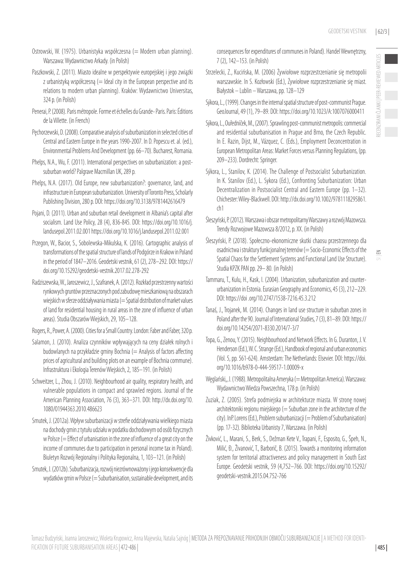$\leq$ 

- Ostrowski, W. (1975). Urbanistyka współczesna (= Modern urban planning). Warszawa: Wydawnictwo Arkady. (in Polish)
- Paszkowski, Z. (2011). Miasto idealne w perspektywie europejskiej i jego związki  $z$  urbanistyką współczesną (= Ideal city in the European perspective and its relations to modern urban planning). Kraków: Wydawnictwo Universitas, 324 p. (in Polish)
- Penerai, P. (2008). Paris métropole. Forme et échelles du Grande- Paris. Paris: Éditions de la Villette. (in French)
- Pęchorzewski, D. (2008). Comparative analysis of suburbanization in selected cities of Central and Eastern Europe in the years 1990-2007. In D. Popescu et. al. (ed.), Environmental Problems And Development (pp. 66–70). Bucharest, Romania.
- Phelps, N.A., Wu, F. (2011). International perspectives on suburbanization: a postsuburban world? Palgrave Macmillan UK, 289 p.
- Phelps, N.A. (2017). Old Europe, new suburbanization?: governance, land, and infrastructure in European suburbanization. University of Toronto Press, Scholarly Publishing Division, 280 p. DOI: https://doi.org/10.3138/9781442616479
- Pojani, D. (2011). Urban and suburban retail development in Albania's capital after socialism. Land Use Policy, 28 (4), 836-845. DOI: [https://doi.org/10.1016/j.](https://doi.org/10.1016/j.landusepol.2011.02.001) [landusepol.2011.02.001](https://doi.org/10.1016/j.landusepol.2011.02.001) https://doi.org/10.1016/j.landusepol.2011.02.001
- Przegon, W., Bacior, S., Sobolewska-Mikulska, K. (2016). Cartographic analysis of transformations of the spatial structure of lands of Podgórze in Krakow in Poland in the period of 1847–2016. Geodetski vestnik, 61 (2), 278–292. DOI: [https://](https://doi.org/10.15292/geodetski-vestnik.2017.02.278-292) [doi.org/10.15292/geodetski-vestnik.2017.02.278-292](https://doi.org/10.15292/geodetski-vestnik.2017.02.278-292)
- Radziszewska, W., Jaroszewicz, J., Szafranek, A. (2012). Rozkład przestrzenny wartości rynkowych gruntów przeznaczonych pod zabudowę mieszkaniową na obszarach wiejskich w sferze oddziaływania miasta (= Spatial distribution of market values of land for residential housing in rural areas in the zone of influence of urban areas). Studia Obszarów Wiejskich, 29, 105–128.
- Rogers, R., Power, A. (2000). Cities for a Small Country. London: Faber and Faber, 320 p.
- Salamon, J. (2010). Analiza czynników wpływających na ceny działek rolnych i budowlanych na przykładzie gminy Bochnia (= Analysis of factors affecting prices of agricultural and building plots on an example of Bochnia commune). Infrastruktura i Ekologia Terenów Wiejskich, 2, 185–191. (in Polish)
- Schweitzer, L., Zhou, J. (2010). Neighbourhood air quality, respiratory health, and vulnerable populations in compact and sprawled regions. Journal of the American Planning Association, 76 (3), 363–371. DOI: [http://dx.doi.org/10.](http://dx.doi.org/10.1080/01944363.2010.486623) [1080/01944363.2010.486623](http://dx.doi.org/10.1080/01944363.2010.486623)
- Smutek, J. (2012a). Wpływ suburbanizacji w strefie oddziaływania wielkiego miasta na dochody gmin z tytułu udziału w podatku dochodowym od osób fizycznych w Polsce (= Effect of urbanisation in the zone of influence of a great city on the income of communes due to participation in personal income tax in Poland). Biuletyn Rozwój Regionalny i Polityka Regionalna, 1, 103–121. (in Polish)
- Smutek, J. (2012b). Suburbanizacja, rozwój niezrównoważony i jego konsekwencje dla wydatków gmin w Polsce (= Suburbanisation, sustainable development, and its

consequences for expenditures of communes in Poland). Handel Wewnętrzny, 7 (2), 142–153. (in Polish)

- Strzelecki, Z., Kucińska, M. (2006) Żywiołowe rozprzestrzenianie się metropolii warszawskie. In S. Kozłowski (Ed.), Żywiołowe rozprzestrzenianie się miast. Białystok – Lublin – Warszawa, pp. 128–129
- Sýkora, L., (1999). Changes in the internal spatial structure of post-communist Prague. GeoJournal, 49 (1), 79–89. DOI: <https://doi.org/10.1023/A:1007076000411>
- Sýkora, L., Ouředníček, M., (2007). [Sprawling post-communist metropolis: commercial](http://www.natur.cuni.cz/~slamak/gacr/selma.pdf)  [and residential suburbanisation in Prague and Brno, the Czech Republic](http://www.natur.cuni.cz/~slamak/gacr/selma.pdf). In E. Razin, Dijst, M., Vázquez, C. (Eds.), Employment Deconcentration in European Metropolitan Areas: Market Forces versus Planning Regulations, (pp. 209–233). Dordrecht: Springer.
- Sýkora, L., Stanilov, K. (2014). The Challenge of Postsocialist Suburbanization. In K. Stanilov (Ed.), L. Sykora (Ed.), Confronting Suburbanization: Urban Decentralization in Postsocialist Central and Eastern Europe (pp. 1–32). Chichester: Wiley-Blackwell. DOI: http://dx.doi.org/10.1002/9781118295861. ch1
- Śleszyński, P. (2012). Warszawa i obszar metropolitarny Warszawy a rozwój Mazowsza. Trendy Rozwojowe Mazowsza 8/2012, p. XX. (in Polish)
- Śleszyński, P. (2018). Społeczno-ekonomiczne skutki chaosu przestrzennego dla osadnictwa i struktury funkcjonalnej terenów (= Socio-Economic Effects of the Spatial Chaos for the Settlement Systems and Functional Land Use Structure). Studia KPZK PAN pp. 29– 80. (in Polish)
- Tammaru, T., Kulu, H., Kask, I. (2004). Urbanization, suburbanization and counterurbanization in Estonia. Eurasian Geography and Economics, 45 (3), 212–229. DOI: https://doi .org/10.2747/1538-7216.45.3.212
- Tanaś, J., Trojanek, M. (2014). Changes in land use structure in suburban zones in Poland after the 90. Journal of International Studies, 7 (3), 81–89. DOI: [https://](https://doi.org/10.14254/2071-8330.2014/7-3/7) [doi.org/10.14254/2071-8330.2014/7-3/7](https://doi.org/10.14254/2071-8330.2014/7-3/7)
- Topa, G., Zenou, Y. (2015). Neighbourhood and Network Effects. In G. Duranton, J. V. Henderson (Ed.), W. C. Strange (Ed.), Handbook of regional and urban economics (Vol. 5, pp. 561-624). Amsterdam: The Netherlands: Elsevier. DOI: [https://doi.](https://doi.org/10.1016/b978-0-444-59517-1.00009-x) [org/10.1016/b978-0-444-59517-1.00009-x](https://doi.org/10.1016/b978-0-444-59517-1.00009-x)
- Węglański,, J. (1988). Metropolitalna Ameryka (= Metropolitan America). Warszawa: Wydawnictwo Wiedza Powszechna, 178 p. (in Polish)
- Zuziak, Z. (2005). Strefa podmiejska w architekturze miasta. W stronę nowej architektoniki regionu miejskiego ( $=$  Suburban zone in the architecture of the city). InP. Lorens (Ed.), Problem suburbanizacji (= Problem of Suburbanisation) (pp. 17-32). Biblioteka Urbanisty 7, Warszawa. (in Polish)
- Živković, L., Marani, S., Berk, S., Dežman Kete V., Trapani, F., Esposito, G., Špeh, N., Milić, Đ., Živanović, T., Barborič, B. (2015). Towards a monitoring information system for territorial attractiveness and policy management in South East Europe. Geodetski vestnik, 59 (4,752–766. DOI: [https://doi.org/10.15292/](https://doi.org/10.15292/geodetski-vestnik.2015.04.752-766) [geodetski-vestnik.2015.04.752-766](https://doi.org/10.15292/geodetski-vestnik.2015.04.752-766)